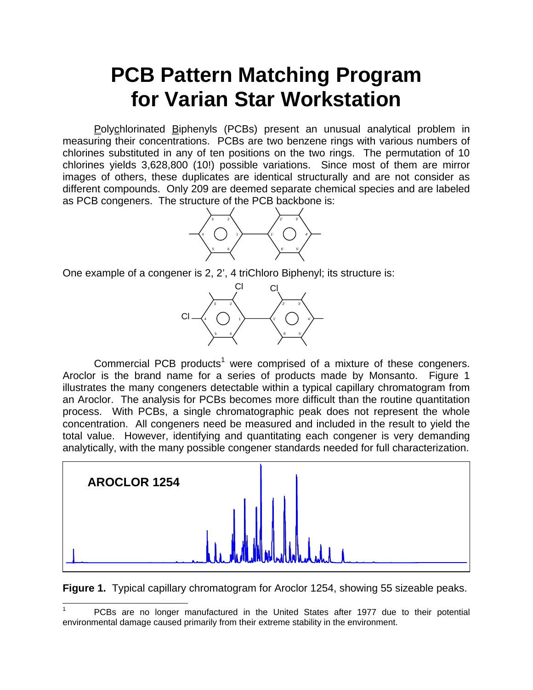## **PCB Pattern Matching Program for Varian Star Workstation**

Polychlorinated Biphenyls (PCBs) present an unusual analytical problem in measuring their concentrations. PCBs are two benzene rings with various numbers of chlorines substituted in any of ten positions on the two rings. The permutation of 10 chlorines yields 3,628,800 (10!) possible variations. Since most of them are mirror images of others, these duplicates are identical structurally and are not consider as different compounds. Only 209 are deemed separate chemical species and are labeled as PCB congeners. The structure of the PCB backbone is:



One example of a congener is 2, 2', 4 triChloro Biphenyl; its structure is:



Commercial PCB products<sup>1</sup> were comprised of a mixture of these congeners. Aroclor is the brand name for a series of products made by Monsanto. Figure 1 illustrates the many congeners detectable within a typical capillary chromatogram from an Aroclor. The analysis for PCBs becomes more difficult than the routine quantitation process. With PCBs, a single chromatographic peak does not represent the whole concentration. All congeners need be measured and included in the result to yield the total value. However, identifying and quantitating each congener is very demanding analytically, with the many possible congener standards needed for full characterization.



**Figure 1.** Typical capillary chromatogram for Aroclor 1254, showing 55 sizeable peaks.

 $\overline{a}$ 

<sup>1</sup> PCBs are no longer manufactured in the United States after 1977 due to their potential environmental damage caused primarily from their extreme stability in the environment.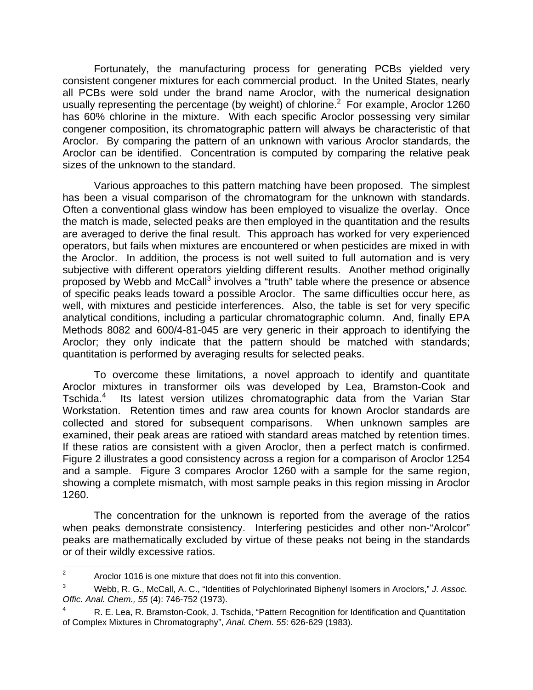Fortunately, the manufacturing process for generating PCBs yielded very consistent congener mixtures for each commercial product. In the United States, nearly all PCBs were sold under the brand name Aroclor, with the numerical designation usually representing the percentage (by weight) of chlorine. $2$  For example, Aroclor 1260 has 60% chlorine in the mixture. With each specific Aroclor possessing very similar congener composition, its chromatographic pattern will always be characteristic of that Aroclor. By comparing the pattern of an unknown with various Aroclor standards, the Aroclor can be identified. Concentration is computed by comparing the relative peak sizes of the unknown to the standard.

 Various approaches to this pattern matching have been proposed. The simplest has been a visual comparison of the chromatogram for the unknown with standards. Often a conventional glass window has been employed to visualize the overlay. Once the match is made, selected peaks are then employed in the quantitation and the results are averaged to derive the final result. This approach has worked for very experienced operators, but fails when mixtures are encountered or when pesticides are mixed in with the Aroclor. In addition, the process is not well suited to full automation and is very subjective with different operators yielding different results. Another method originally proposed by Webb and McCall<sup>3</sup> involves a "truth" table where the presence or absence of specific peaks leads toward a possible Aroclor. The same difficulties occur here, as well, with mixtures and pesticide interferences. Also, the table is set for very specific analytical conditions, including a particular chromatographic column. And, finally EPA Methods 8082 and 600/4-81-045 are very generic in their approach to identifying the Aroclor; they only indicate that the pattern should be matched with standards; quantitation is performed by averaging results for selected peaks.

 To overcome these limitations, a novel approach to identify and quantitate Aroclor mixtures in transformer oils was developed by Lea, Bramston-Cook and Tschida.<sup>4</sup> Its latest version utilizes chromatographic data from the Varian Star Workstation. Retention times and raw area counts for known Aroclor standards are collected and stored for subsequent comparisons. When unknown samples are examined, their peak areas are ratioed with standard areas matched by retention times. If these ratios are consistent with a given Aroclor, then a perfect match is confirmed. Figure 2 illustrates a good consistency across a region for a comparison of Aroclor 1254 and a sample. Figure 3 compares Aroclor 1260 with a sample for the same region, showing a complete mismatch, with most sample peaks in this region missing in Aroclor 1260.

The concentration for the unknown is reported from the average of the ratios when peaks demonstrate consistency. Interfering pesticides and other non-"Arolcor" peaks are mathematically excluded by virtue of these peaks not being in the standards or of their wildly excessive ratios.

<sup>&</sup>lt;sup>2</sup> Aroclor 1016 is one mixture that does not fit into this convention.

<sup>3</sup> Webb, R. G., McCall, A. C., "Identities of Polychlorinated Biphenyl Isomers in Aroclors," *J. Assoc. Offic. Anal. Chem., 55* (4): 746-752 (1973).

<sup>4</sup> R. E. Lea, R. Bramston-Cook, J. Tschida, "Pattern Recognition for Identification and Quantitation of Complex Mixtures in Chromatography", *Anal. Chem. 55*: 626-629 (1983).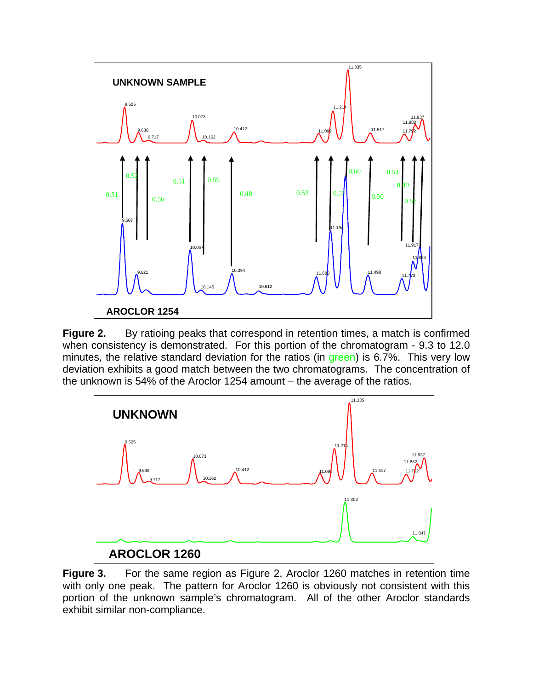

Figure 2. By ratioing peaks that correspond in retention times, a match is confirmed when consistency is demonstrated. For this portion of the chromatogram - 9.3 to 12.0 minutes, the relative standard deviation for the ratios (in green) is 6.7%. This very low deviation exhibits a good match between the two chromatograms. The concentration of the unknown is 54% of the Aroclor 1254 amount – the average of the ratios.



**Figure 3.** For the same region as Figure 2, Aroclor 1260 matches in retention time with only one peak. The pattern for Aroclor 1260 is obviously not consistent with this portion of the unknown sample's chromatogram. All of the other Aroclor standards exhibit similar non-compliance.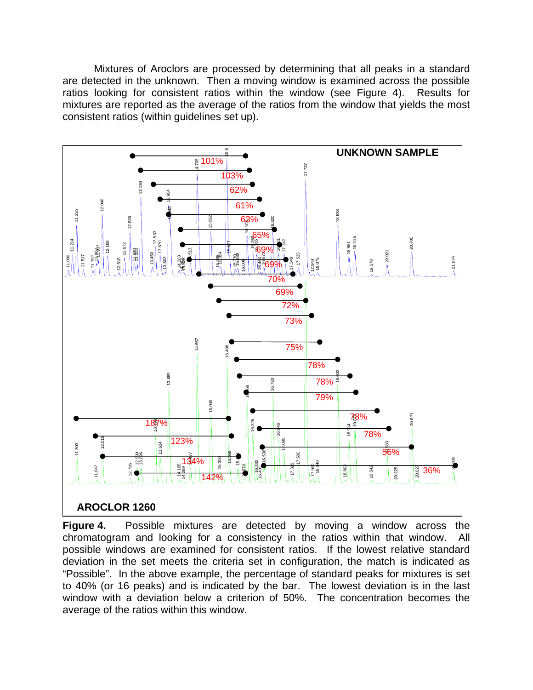Mixtures of Aroclors are processed by determining that all peaks in a standard are detected in the unknown. Then a moving window is examined across the possible ratios looking for consistent ratios within the window (see Figure 4). Results for mixtures are reported as the average of the ratios from the window that yields the most consistent ratios (within guidelines set up).



**Figure 4.** Possible mixtures are detected by moving a window across the chromatogram and looking for a consistency in the ratios within that window. All possible windows are examined for consistent ratios. If the lowest relative standard deviation in the set meets the criteria set in configuration, the match is indicated as "Possible". In the above example, the percentage of standard peaks for mixtures is set to 40% (or 16 peaks) and is indicated by the bar. The lowest deviation is in the last window with a deviation below a criterion of 50%. The concentration becomes the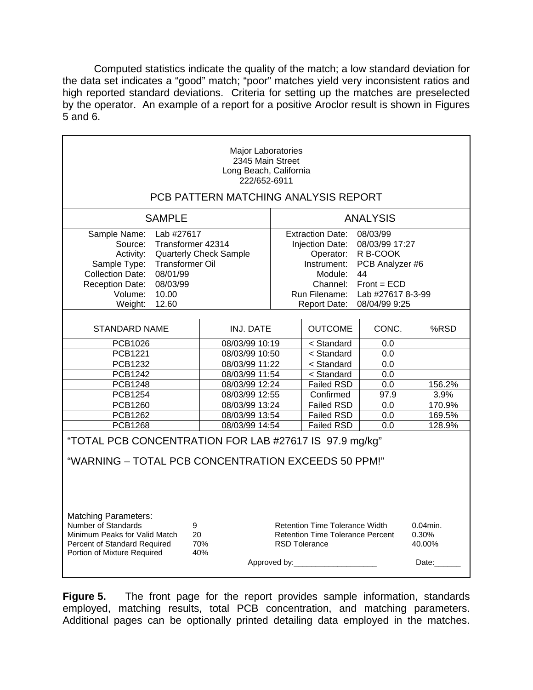Computed statistics indicate the quality of the match; a low standard deviation for the data set indicates a "good" match; "poor" matches yield very inconsistent ratios and high reported standard deviations. Criteria for setting up the matches are preselected by the operator. An example of a report for a positive Aroclor result is shown in Figures 5 and 6.

| Major Laboratories<br>2345 Main Street<br>Long Beach, California<br>222/652-6911                                                                                            |                                                                                            |                 |                                                                                                                                    |                                                                                                                                                                                                                         |                                         |  |  |  |  |  |
|-----------------------------------------------------------------------------------------------------------------------------------------------------------------------------|--------------------------------------------------------------------------------------------|-----------------|------------------------------------------------------------------------------------------------------------------------------------|-------------------------------------------------------------------------------------------------------------------------------------------------------------------------------------------------------------------------|-----------------------------------------|--|--|--|--|--|
| PCB PATTERN MATCHING ANALYSIS REPORT                                                                                                                                        |                                                                                            |                 |                                                                                                                                    |                                                                                                                                                                                                                         |                                         |  |  |  |  |  |
| <b>SAMPLE</b>                                                                                                                                                               |                                                                                            | <b>ANALYSIS</b> |                                                                                                                                    |                                                                                                                                                                                                                         |                                         |  |  |  |  |  |
| Sample Name:<br>Source:<br>Activity:<br>Sample Type:<br><b>Collection Date:</b><br>08/01/99<br>08/03/99<br><b>Reception Date:</b><br>Volume:<br>10.00                       | Lab #27617<br>Transformer 42314<br><b>Quarterly Check Sample</b><br><b>Transformer Oil</b> |                 |                                                                                                                                    | 08/03/99<br><b>Extraction Date:</b><br>08/03/99 17:27<br>Injection Date:<br>R B-COOK<br>Operator:<br>Instrument:<br>PCB Analyzer #6<br>Module:<br>44<br>$Front = ECD$<br>Channel:<br>Run Filename:<br>Lab #27617 8-3-99 |                                         |  |  |  |  |  |
| Weight:<br>12.60                                                                                                                                                            |                                                                                            |                 | <b>Report Date:</b>                                                                                                                | 08/04/99 9:25                                                                                                                                                                                                           |                                         |  |  |  |  |  |
| <b>STANDARD NAME</b>                                                                                                                                                        | <b>INJ. DATE</b>                                                                           |                 | <b>OUTCOME</b>                                                                                                                     | CONC.                                                                                                                                                                                                                   | %RSD                                    |  |  |  |  |  |
| PCB1026                                                                                                                                                                     | 08/03/99 10:19                                                                             |                 | < Standard                                                                                                                         | 0.0                                                                                                                                                                                                                     |                                         |  |  |  |  |  |
| PCB1221                                                                                                                                                                     | 08/03/99 10:50                                                                             |                 | < Standard                                                                                                                         | 0.0                                                                                                                                                                                                                     |                                         |  |  |  |  |  |
| <b>PCB1232</b><br>08/03/99 11:22                                                                                                                                            |                                                                                            |                 | < Standard                                                                                                                         | 0.0                                                                                                                                                                                                                     |                                         |  |  |  |  |  |
| <b>PCB1242</b>                                                                                                                                                              | 08/03/99 11:54                                                                             |                 | < Standard                                                                                                                         | 0.0                                                                                                                                                                                                                     |                                         |  |  |  |  |  |
| <b>PCB1248</b>                                                                                                                                                              | 08/03/99 12:24                                                                             |                 | <b>Failed RSD</b>                                                                                                                  | 0.0                                                                                                                                                                                                                     | 156.2%                                  |  |  |  |  |  |
| PCB1254                                                                                                                                                                     | 08/03/99 12:55                                                                             |                 | Confirmed                                                                                                                          | 97.9                                                                                                                                                                                                                    | 3.9%                                    |  |  |  |  |  |
| <b>PCB1260</b>                                                                                                                                                              | 08/03/99 13:24                                                                             |                 | <b>Failed RSD</b>                                                                                                                  | 0.0                                                                                                                                                                                                                     | 170.9%                                  |  |  |  |  |  |
| PCB1262                                                                                                                                                                     | 08/03/99 13:54                                                                             |                 | <b>Failed RSD</b>                                                                                                                  | 0.0                                                                                                                                                                                                                     | 169.5%                                  |  |  |  |  |  |
| <b>PCB1268</b>                                                                                                                                                              | 08/03/99 14:54                                                                             |                 | <b>Failed RSD</b>                                                                                                                  | 0.0                                                                                                                                                                                                                     | 128.9%                                  |  |  |  |  |  |
| "TOTAL PCB CONCENTRATION FOR LAB #27617 IS 97.9 mg/kg"<br>"WARNING - TOTAL PCB CONCENTRATION EXCEEDS 50 PPM!"                                                               |                                                                                            |                 |                                                                                                                                    |                                                                                                                                                                                                                         |                                         |  |  |  |  |  |
| <b>Matching Parameters:</b><br>Number of Standards<br>9<br>Minimum Peaks for Valid Match<br>20<br>70%<br>Percent of Standard Required<br>Portion of Mixture Required<br>40% |                                                                                            |                 | <b>Retention Time Tolerance Width</b><br><b>Retention Time Tolerance Percent</b><br><b>RSD Tolerance</b><br>Approved by:__________ |                                                                                                                                                                                                                         | $0.04$ min.<br>0.30%<br>40.00%<br>Date: |  |  |  |  |  |
|                                                                                                                                                                             |                                                                                            |                 |                                                                                                                                    |                                                                                                                                                                                                                         |                                         |  |  |  |  |  |

**Figure 5.** The front page for the report provides sample information, standards employed, matching results, total PCB concentration, and matching parameters. Additional pages can be optionally printed detailing data employed in the matches.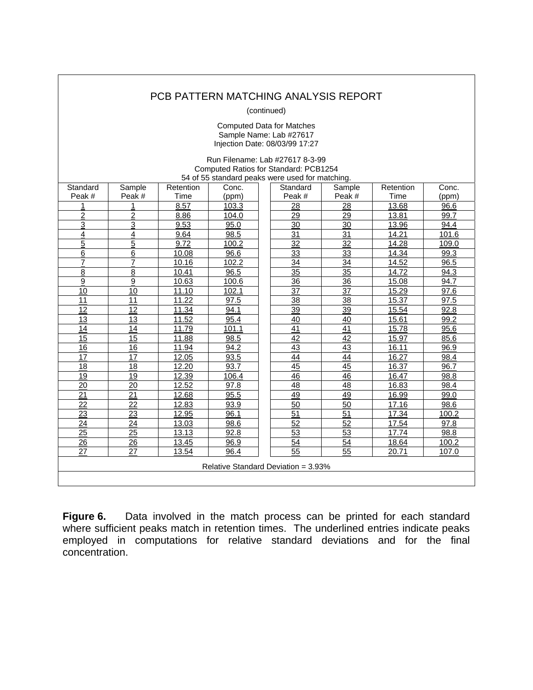## PCB PATTERN MATCHING ANALYSIS REPORT

(continued)

Computed Data for Matches Sample Name: Lab #27617 Injection Date: 08/03/99 17:27

Run Filename: Lab #27617 8-3-99 Computed Ratios for Standard: PCB1254 54 of 55 standard peaks were used for matching. **Standard** Peak # **Sample** Peak # **Retention**  $\frac{Time}{8.57}$ Conc.  $(ppm)$ <br>103.3 **Standard**  $\frac{Peak#}{28}$ **Sample**  $\frac{\text{Peak}\#}{28}$ **Retention**  $\frac{Time}{13.68}$ Conc.  $(\text{ppm})$ <br>96.6 <u>1 | 1 | 8.57 | 103.3</u> | | <u>28</u> | <u>28 | 13.68</u> | <u>96.6</u> <u>2 | 2 | 8.86 | 104.0</u> || <u>29</u> | <u>29 | 13.81</u> | <u>99.7</u> <u>3 | 3 | 9.53 | 95.0 || 30 | 30 | 13.96 | 94.4</u> <u>4 | 4 | 9.64 | 98.5 || 31 | 31 | 14.21 | 101.6</u> <u>5 | 5 | 9.72 | 100.2 | | 32 | 32 | 14.28 | 109.0</u> <u>6 | 6 | 10.08 | 96.6 || 33 | 33 | 14.34 | 99.3</u> <u>7 | 7 | 10.16 | 102.2 | | 34 | 34 | 14.52 | 96.5</u> <u>8 | 8 | 10.41 | 96.5 || 35 | 35 | 14.72 | 94.3</u> <u>9 | 9 | 10.63 | 100.6 || 36 | 36 | 15.08 | 94.7</u> <u>10 | 10 | 11.10 | 102.1 | | 37 | 37 | 15.29 | 97.6</u> <u>11</u> | <u>11</u> | <u>11.22</u> | <u>97.5</u> || <u>38</u> | <u>38</u> | <u>15.37</u> | <u>97.5</u> <u>12 | 12 | 11.34 | 94.1 | | 39 | 39 | 15.54 | 92.8</u> <u>13</u> | <u>13</u> | <u>11.52</u> | <u>95.4</u> | | <u>40</u> | <u>40</u> | <u>15.61</u> | <u>99.2</u> <u>14</u> | <u>14</u> | <u>11.79</u> | <u>101.1</u> | | <u>41</u> | 4<u>1</u> | 1<u>5.78</u> | <u>95.6</u> <u>15 | 15 | 11.88</u> | <u>98.5</u> | | <u>42</u> | <u>42</u> | <u>15.97</u> | <u>85.6</u> <u>16 | 16 | 11.94 | 94.2 | | 43</u> | <u>43</u> | <u>16.11</u> | <u>96.9</u> <u>17 | 17 | 12.05 | 93.5 | | 44 | 44 | 16.27 | 98.4</u> <u>18 | 18 | 12.20 | 93.7 | | 45 | 45 | 16.37 | 96.7</u> <u>19 | 19 | 12.39 | 106.4 | | 46 | 46 | 16.47 | 98.8</u> 2<u>0</u> | 2<u>0</u> | <u>12.52</u> | 97.8 | | 48 | 48 | 16.83 | 98.4 2<u>1</u> | 2<u>1</u> | <u>12.68</u> | 95.5 | | 49 | 49 | 16.99 | 99.0 2<u>2</u> | 2<u>2</u> | <u>12.83</u> | 93.9 | | 50 | 50 | 17.16 | 98.6 <u>23</u> | <u>23</u> | <u>12.95</u> | <u>96.1</u> | | <u>51</u> | <u>51 | 17.34</u> | <u>100.2</u> <u>24</u> | <u>24</u> | <u>13.03</u> | <u>98.6</u> | | <u>52</u> | <u>52</u> | <u>17.54</u> | <u>97.8</u> <u>25 | 25 | 13.13 | 92.8 | | 53 | 53 | 17.74 | 98.8</u> <u>26</u> | <u>26</u> | <u>13.45</u> | <u>96.9</u> | | <u>54</u> | <u>54</u> | <u>18.64</u> | <u>100.2</u> <u>27</u> | <u>27</u> | <u>13.54</u> | <u>96.4</u> | | <u>55</u> | <u>55</u> | <u>20.71</u> | <u>107.0</u> Relative Standard Deviation = 3.93%

**Figure 6.** Data involved in the match process can be printed for each standard where sufficient peaks match in retention times. The underlined entries indicate peaks employed in computations for relative standard deviations and for the final concentration.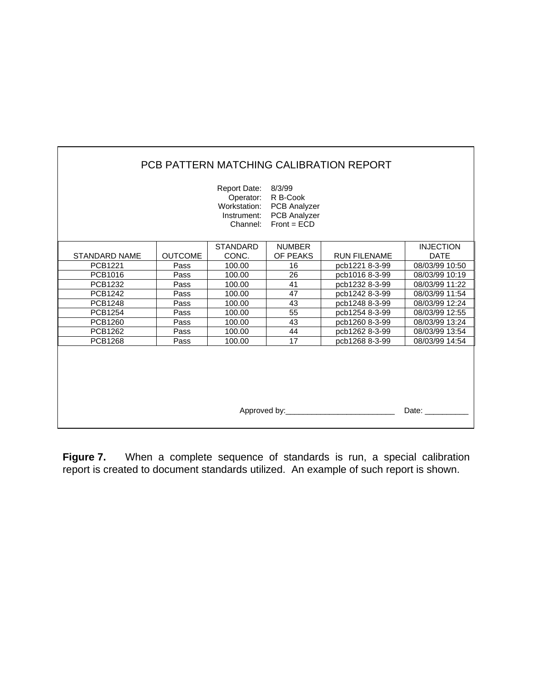| PCB PATTERN MATCHING CALIBRATION REPORT |                |                                                                             |                                                                         |                     |                  |  |  |  |  |
|-----------------------------------------|----------------|-----------------------------------------------------------------------------|-------------------------------------------------------------------------|---------------------|------------------|--|--|--|--|
|                                         |                | Report Date: 8/3/99<br>Operator:<br>Workstation:<br>Instrument:<br>Channel: | R B-Cook<br><b>PCB Analyzer</b><br><b>PCB Analyzer</b><br>$Front = ECD$ |                     |                  |  |  |  |  |
|                                         |                | <b>STANDARD</b>                                                             | <b>NUMBER</b>                                                           |                     | <b>INJECTION</b> |  |  |  |  |
| <b>STANDARD NAME</b>                    | <b>OUTCOME</b> | CONC.                                                                       | OF PEAKS                                                                | <b>RUN FILENAME</b> | <b>DATE</b>      |  |  |  |  |
| PCB1221                                 | Pass           | 100.00                                                                      | 16                                                                      | pcb1221 8-3-99      | 08/03/99 10:50   |  |  |  |  |
| PCB1016                                 | Pass           | 100.00                                                                      | 26                                                                      | pcb1016 8-3-99      | 08/03/99 10:19   |  |  |  |  |
| PCB1232                                 | Pass           | 100.00                                                                      | 41                                                                      | pcb1232 8-3-99      | 08/03/99 11:22   |  |  |  |  |
| <b>PCB1242</b>                          | Pass           | 100.00                                                                      | 47                                                                      | pcb1242 8-3-99      | 08/03/99 11:54   |  |  |  |  |
| <b>PCB1248</b>                          | Pass           | 100.00                                                                      | 43                                                                      | pcb1248 8-3-99      | 08/03/99 12:24   |  |  |  |  |
| <b>PCB1254</b>                          | Pass           | 100.00                                                                      | 55                                                                      | pcb1254 8-3-99      | 08/03/99 12:55   |  |  |  |  |
| <b>PCB1260</b>                          | Pass           | 100.00                                                                      | 43                                                                      | pcb1260 8-3-99      | 08/03/99 13:24   |  |  |  |  |
| <b>PCB1262</b>                          | Pass           | 100.00                                                                      | 44                                                                      | pcb1262 8-3-99      | 08/03/99 13:54   |  |  |  |  |
| <b>PCB1268</b>                          | Pass           | 100.00                                                                      | 17                                                                      | pcb1268 8-3-99      | 08/03/99 14:54   |  |  |  |  |
| Approved by:<br>Date:                   |                |                                                                             |                                                                         |                     |                  |  |  |  |  |

r

**Figure 7.** When a complete sequence of standards is run, a special calibration report is created to document standards utilized. An example of such report is shown.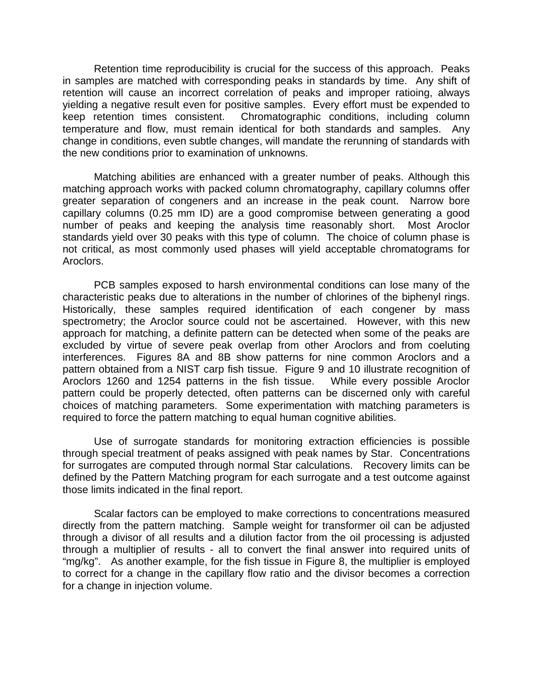Retention time reproducibility is crucial for the success of this approach. Peaks in samples are matched with corresponding peaks in standards by time. Any shift of retention will cause an incorrect correlation of peaks and improper ratioing, always yielding a negative result even for positive samples. Every effort must be expended to keep retention times consistent. Chromatographic conditions, including column temperature and flow, must remain identical for both standards and samples. Any change in conditions, even subtle changes, will mandate the rerunning of standards with the new conditions prior to examination of unknowns.

 Matching abilities are enhanced with a greater number of peaks. Although this matching approach works with packed column chromatography, capillary columns offer greater separation of congeners and an increase in the peak count. Narrow bore capillary columns (0.25 mm ID) are a good compromise between generating a good number of peaks and keeping the analysis time reasonably short. Most Aroclor standards yield over 30 peaks with this type of column. The choice of column phase is not critical, as most commonly used phases will yield acceptable chromatograms for Aroclors.

PCB samples exposed to harsh environmental conditions can lose many of the characteristic peaks due to alterations in the number of chlorines of the biphenyl rings. Historically, these samples required identification of each congener by mass spectrometry; the Aroclor source could not be ascertained. However, with this new approach for matching, a definite pattern can be detected when some of the peaks are excluded by virtue of severe peak overlap from other Aroclors and from coeluting interferences. Figures 8A and 8B show patterns for nine common Aroclors and a pattern obtained from a NIST carp fish tissue. Figure 9 and 10 illustrate recognition of Aroclors 1260 and 1254 patterns in the fish tissue. While every possible Aroclor pattern could be properly detected, often patterns can be discerned only with careful choices of matching parameters. Some experimentation with matching parameters is required to force the pattern matching to equal human cognitive abilities.

Use of surrogate standards for monitoring extraction efficiencies is possible through special treatment of peaks assigned with peak names by Star. Concentrations for surrogates are computed through normal Star calculations. Recovery limits can be defined by the Pattern Matching program for each surrogate and a test outcome against those limits indicated in the final report.

 Scalar factors can be employed to make corrections to concentrations measured directly from the pattern matching. Sample weight for transformer oil can be adjusted through a divisor of all results and a dilution factor from the oil processing is adjusted through a multiplier of results - all to convert the final answer into required units of "mg/kg". As another example, for the fish tissue in Figure 8, the multiplier is employed to correct for a change in the capillary flow ratio and the divisor becomes a correction for a change in injection volume.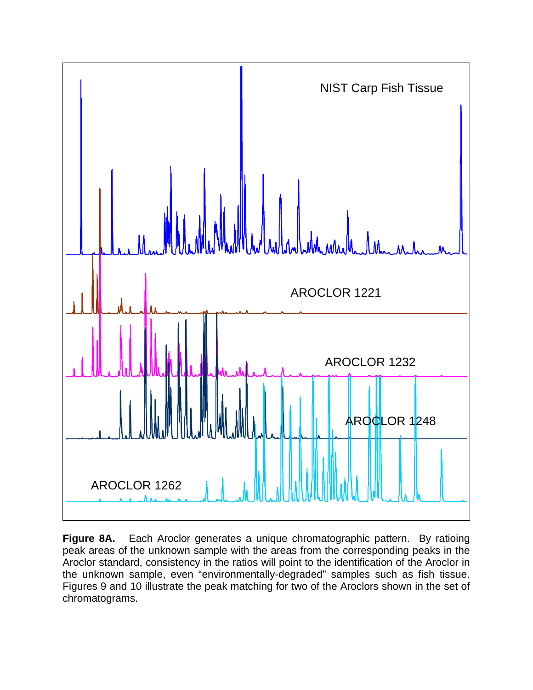

Figure 8A. Each Aroclor generates a unique chromatographic pattern. By ratioing peak areas of the unknown sample with the areas from the corresponding peaks in the Aroclor standard, consistency in the ratios will point to the identification of the Aroclor in the unknown sample, even "environmentally-degraded" samples such as fish tissue. Figures 9 and 10 illustrate the peak matching for two of the Aroclors shown in the set of chromatograms.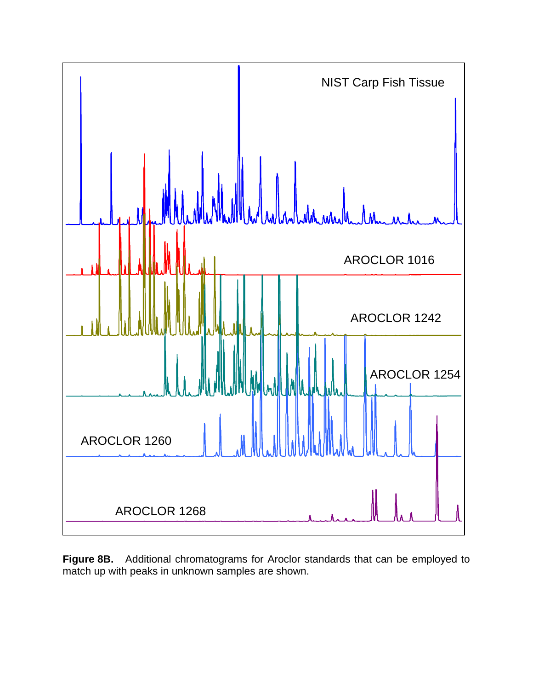

**Figure 8B.** Additional chromatograms for Aroclor standards that can be employed to match up with peaks in unknown samples are shown.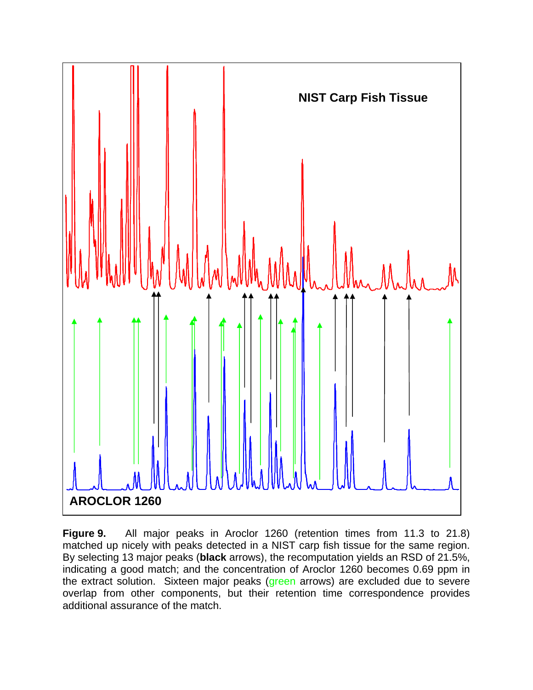

**Figure 9.** All major peaks in Aroclor 1260 (retention times from 11.3 to 21.8) matched up nicely with peaks detected in a NIST carp fish tissue for the same region. By selecting 13 major peaks (**black** arrows), the recomputation yields an RSD of 21.5%, indicating a good match; and the concentration of Aroclor 1260 becomes 0.69 ppm in the extract solution. Sixteen major peaks (green arrows) are excluded due to severe overlap from other components, but their retention time correspondence provides additional assurance of the match.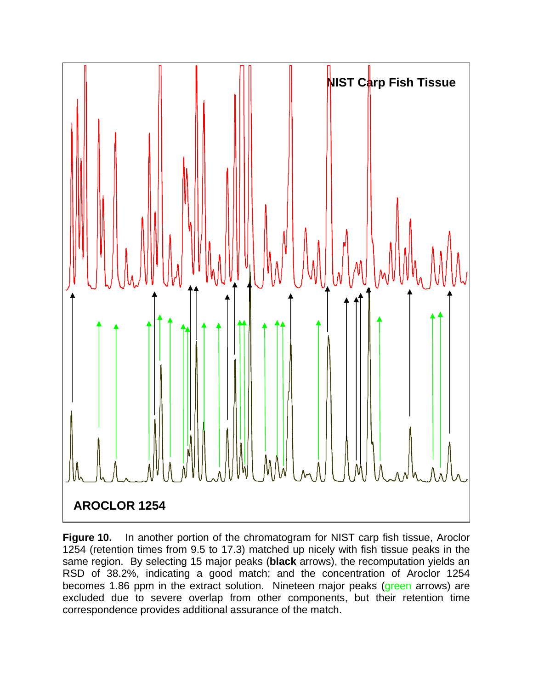

**Figure 10.** In another portion of the chromatogram for NIST carp fish tissue, Aroclor 1254 (retention times from 9.5 to 17.3) matched up nicely with fish tissue peaks in the same region. By selecting 15 major peaks (**black** arrows), the recomputation yields an RSD of 38.2%, indicating a good match; and the concentration of Aroclor 1254 becomes 1.86 ppm in the extract solution. Nineteen major peaks (green arrows) are excluded due to severe overlap from other components, but their retention time correspondence provides additional assurance of the match.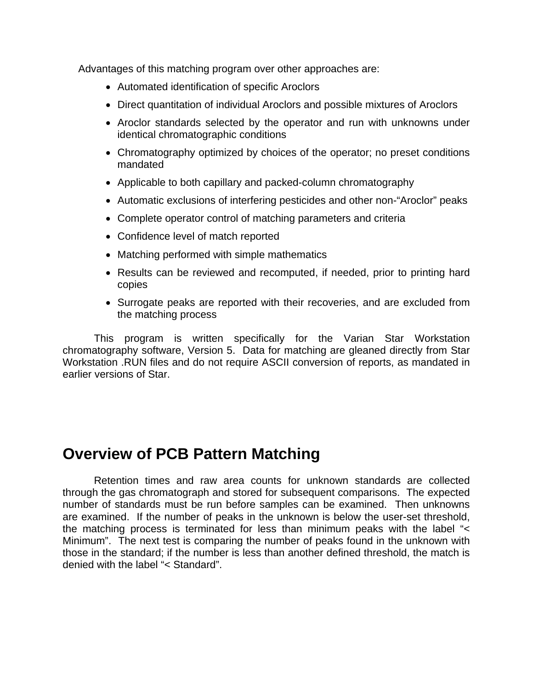Advantages of this matching program over other approaches are:

- Automated identification of specific Aroclors
- Direct quantitation of individual Aroclors and possible mixtures of Aroclors
- Aroclor standards selected by the operator and run with unknowns under identical chromatographic conditions
- Chromatography optimized by choices of the operator; no preset conditions mandated
- Applicable to both capillary and packed-column chromatography
- Automatic exclusions of interfering pesticides and other non-"Aroclor" peaks
- Complete operator control of matching parameters and criteria
- Confidence level of match reported
- Matching performed with simple mathematics
- Results can be reviewed and recomputed, if needed, prior to printing hard copies
- Surrogate peaks are reported with their recoveries, and are excluded from the matching process

This program is written specifically for the Varian Star Workstation chromatography software, Version 5. Data for matching are gleaned directly from Star Workstation .RUN files and do not require ASCII conversion of reports, as mandated in earlier versions of Star.

## **Overview of PCB Pattern Matching**

 Retention times and raw area counts for unknown standards are collected through the gas chromatograph and stored for subsequent comparisons. The expected number of standards must be run before samples can be examined. Then unknowns are examined. If the number of peaks in the unknown is below the user-set threshold, the matching process is terminated for less than minimum peaks with the label "< Minimum". The next test is comparing the number of peaks found in the unknown with those in the standard; if the number is less than another defined threshold, the match is denied with the label "< Standard".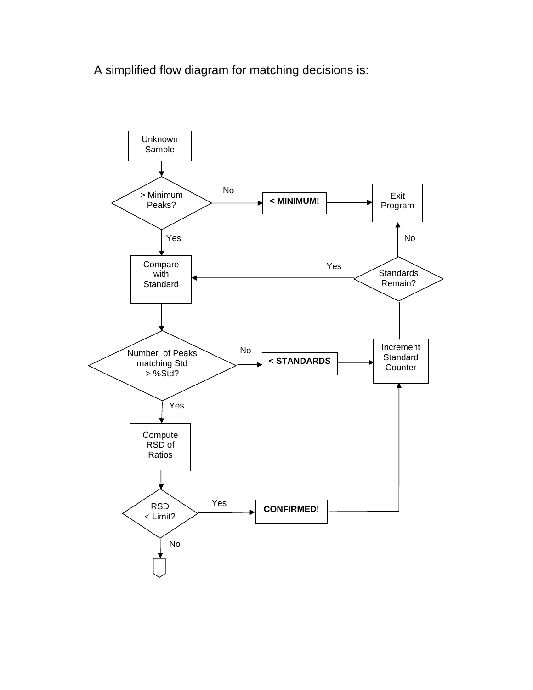A simplified flow diagram for matching decisions is:

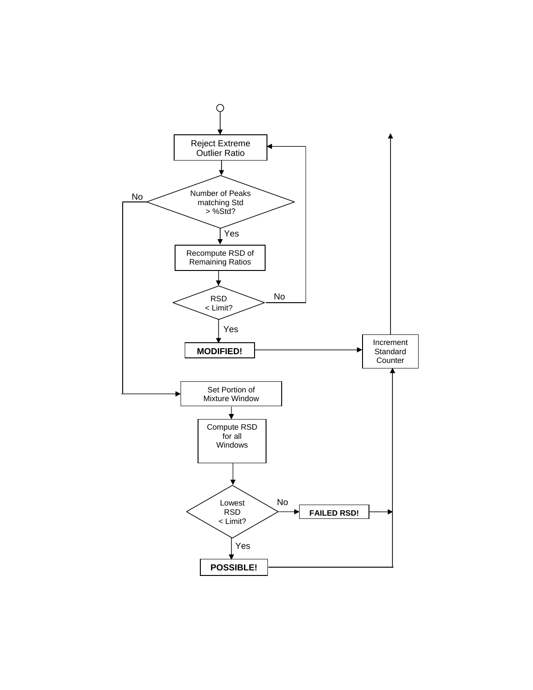